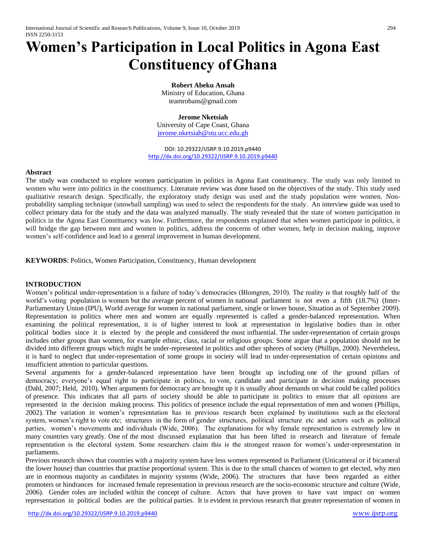# **Women's Participation in Local Politics in Agona East Constituency ofGhana**

**Robert Abeku Ansah** Ministry of Education, Ghana teamrobans@gmail.com

#### **Jerome Nketsiah**

University of Cape Coast, Ghana [jerome.nketsiah@stu.ucc.edu.gh](mailto:jerome.nketsiah@stu.ucc.edu.gh)

DOI: 10.29322/IJSRP.9.10.2019.p9440 <http://dx.doi.org/10.29322/IJSRP.9.10.2019.p9440>

#### **Abstract**

The study was conducted to explore women participation in politics in Agona East constituency. The study was only limited to women who were into politics in the constituency. Literature review was done based on the objectives of the study. This study used qualitative research design. Specifically, the exploratory study design was used and the study population were women. Nonprobability sampling technique (snowball sampling) was used to select the respondents for the study. An interview guide was used to collect primary data for the study and the data was analyzed manually. The study revealed that the state of women participation in politics in the Agona East Constituency was low. Furthermore, the respondents explained that when women participate in politics, it will bridge the gap between men and women in politics, address the concerns of other women, help in decision making, improve women's self-confidence and lead to a general improvement in human development.

**KEYWORDS**: Politics, Women Participation, Constituency, Human development

#### **INTRODUCTION**

Women's political under-representation is a failure of today's democracies (Blomgren, 2010). The reality is that roughly half of the world's voting population is women but the average percent of women in national parliament is not even a fifth (18.7%) (Inter-Parliamentary Union (IPU), World average for women in national parliament, single or lower house, Situation as of September 2009). Representation in politics where men and women are equally represented is called a gender-balanced representation. When examining the political representation, it is of higher interest to look at representation in legislative bodies than in other political bodies since it is elected by the people and considered the most influential. The under-representation of certain groups includes other groups than women, for example ethnic, class, racial or religious groups. Some argue that a population should not be divided into different groups which might be under-represented in politics and other spheres of society (Phillips, 2000). Nevertheless, it is hard to neglect that under-representation of some groups in society will lead to under-representation of certain opinions and insufficient attention to particular questions.

Several arguments for a gender-balanced representation have been brought up including one of the ground pillars of democracy; everyone's equal right to participate in politics, to vote, candidate and participate in decision making processes (Dahl, 2007; Held, 2010). When arguments for democracy are brought up it is usually about demands on what could be called politics of presence. This indicates that all parts of society should be able to participate in politics to ensure that all opinions are represented in the decision making process. This politics of presence include the equal representation of men and women (Phillips, 2002). The variation in women's representation has in previous research been explained by institutions such as the electoral system, women's right to vote etc; structures in the form of gender structures, political structure etc and actors such as political parties, women's movements and individuals (Wide, 2006). The explanations for why female representation is extremely low in many countries vary greatly. One of the most discussed explanation that has been lifted in research and literature of female representation is the electoral system. Some researchers claim this is the strongest reason for women's under-representation in parliaments.

Previous research shows that countries with a majority system have less women represented in Parliament (Unicameral or if bicameral the lower house) than countries that practise proportional system. This is due to the small chances of women to get elected, why men are in enormous majority as candidates in majority systems (Wide, 2006). The structures that have been regarded as either promoters or hindrances for increased female representation in previous research are the socio-economic structure and culture (Wide, 2006). Gender roles are included within the concept of culture. Actors that have proven to have vast impact on women representation in political bodies are the political parties. It is evident in previous research that greater representation of women in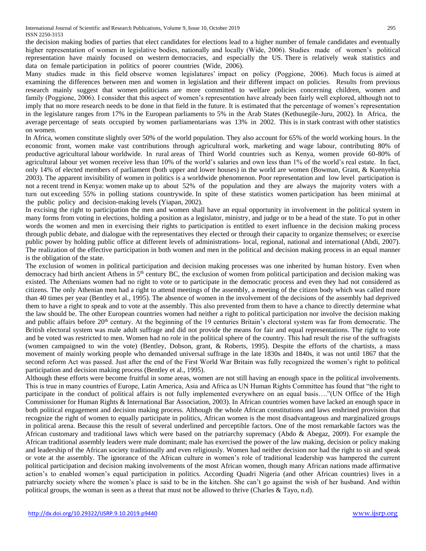the decision making bodies of parties that elect candidates for elections lead to a higher number of female candidates and eventually higher representation of women in legislative bodies, nationally and locally (Wide, 2006). Studies made of women's political representation have mainly focused on western democracies, and especially the US. There is relatively weak statistics and data on female participation in politics of poorer countries (Wide, 2006).

Many studies made in this field observe women legislatures' impact on policy (Poggione, 2006). Much focus is aimed at examining the differences between men and women in legislation and their different impact on policies. Results from previous research mainly suggest that women politicians are more committed to welfare policies concerning children, women and family (Poggione, 2006). I consider that this aspect of women's representation have already been fairly well explored, although not to imply that no more research needs to be done in that field in the future. It is estimated that the percentage of women's representation in the legislature ranges from 17% in the European parliaments to 5% in the Arab States (Kethusegile-Juru, 2002). In Africa, the average percentage of seats occupied by women parliamentarians was 13% in 2002. This is in stark contrast with other statistics on women.

In Africa, women constitute slightly over 50% of the world population. They also account for 65% of the world working hours. In the economic front, women make vast contributions through agricultural work, marketing and wage labour, contributing 80% of productive agricultural labour worldwide. In rural areas of Third World countries such as Kenya, women provide 60-80% of agricultural labour yet women receive less than 10% of the world's salaries and own less than 1% of the world's real estate. In fact, only 14% of elected members of parliament (both upper and lower houses) in the world are women (Bowman, Grant, & Kuenyehia 2003). The apparent invisibility of women in politics is a worldwide phenomenon. Poor representation and low level participation is not a recent trend in Kenya: women make up to about 52% of the population and they are always the majority voters with a turn out exceeding 55% in polling stations countrywide. In spite of these statistics women participation has been minimal at the public policy and decision-making levels (Yiapan, 2002).

In excising the right to participation the men and women shall have an equal opportunity in involvement in the political system in many forms from voting in elections, holding a position as a legislator, ministry, and judge or to be a head of the state. To put in other words the women and men in exercising their rights to participation is entitled to exert influence in the decision making process through public debate, and dialogue with the representatives they elected or through their capacity to organize themselves; or exercise public power by holding public office at different levels of administrations- local, regional, national and international (Abdi, 2007). The realization of the effective participation in both women and men in the political and decision making process in an equal manner is the obligation of the state.

The exclusion of women in political participation and decision making processes was one inherited by human history. Even when democracy had birth ancient Athens in 5<sup>th</sup> century BC, the exclusion of women from political participation and decision making was existed. The Athenians women had no right to vote or to participate in the democratic process and even they had not considered as citizens. The only Athenian men had a right to attend meetings of the assembly, a meeting of the citizen body which was called more than 40 times per year (Bentley et al., 1995). The absence of women in the involvement of the decisions of the assembly had deprived them to have a right to speak and to vote at the assembly. This also prevented from them to have a chance to directly determine what the law should be. The other European countries women had neither a right to political participation nor involve the decision making and public affairs before 20<sup>th</sup> century. At the beginning of the 19 centuries Britain's electoral system was far from democratic. The British electoral system was male adult suffrage and did not provide the means for fair and equal representations. The right to vote and be voted was restricted to men. Women had no role in the political sphere of the country. This had result the rise of the suffragists (women campaigned to win the vote) (Bentley, Dobson, grant, & Roberts, 1995). Despite the efforts of the chartists, a mass movement of mainly working people who demanded universal suffrage in the late 1830s and 1840s, it was not until 1867 that the second reform Act was passed. Just after the end of the First World War Britain was fully recognized the women's right to political participation and decision making process (Bentley et al., 1995).

Although these efforts were become fruitful in some areas, women are not still having an enough space in the political involvements. This is true in many countries of Europe, Latin America, Asia and Africa as UN Human Rights Committee has found that "the right to participate in the conduct of political affairs is not fully implemented everywhere on an equal basis…."(UN Office of the High Commissioner for Human Rights & International Bar Association, 2003). In African countries women have lacked an enough space in both political engagement and decision making process. Although the whole African constitutions and laws enshrined provision that recognize the right of women to equally participate in politics, African women is the most disadvantageous and marginalized groups in political arena. Because this the result of several underlined and perceptible factors. One of the most remarkable factors was the African customary and traditional laws which were based on the patriarchy supremacy (Abdo & Abegaz, 2009). For example the African traditional assembly leaders were male dominant; male has exercised the power of the law making, decision or policy making and leadership of the African society traditionally and even religiously. Women had neither decision nor had the right to sit and speak or vote at the assembly. The ignorance of the African culture in women's role of traditional leadership was hampered the current political participation and decision making involvements of the most African women, though many African nations made affirmative action's to enabled women's equal participation in politics. According Quadri Nigeria (and other African countries) lives in a patriarchy society where the women's place is said to be in the kitchen. She can't go against the wish of her husband. And within political groups, the woman is seen as a threat that must not be allowed to thrive (Charles & Tayo, n.d).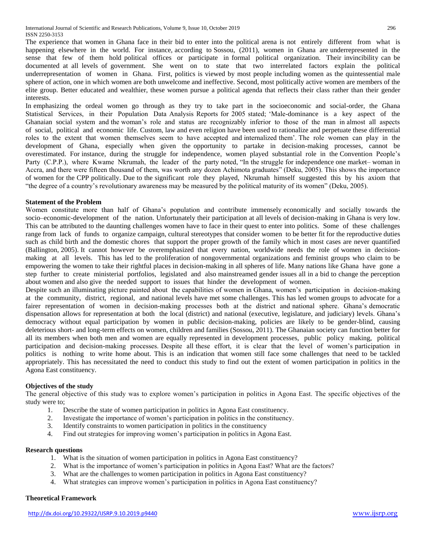The experience that women in Ghana face in their bid to enter into the political arena is not entirely different from what is happening elsewhere in the world. For instance, according to Sossou, (2011), women in Ghana are underrepresented in the sense that few of them hold political offices or participate in formal political organization. Their invincibility can be documented at all levels of government. She went on to state that two interrelated factors explain the political underrepresentation of women in Ghana. First, politics is viewed by most people including women as the quintessential male sphere of action, one in which women are both unwelcome and ineffective. Second, most politically active women are members of the elite group. Better educated and wealthier, these women pursue a political agenda that reflects their class rather than their gender interests.

In emphasizing the ordeal women go through as they try to take part in the socioeconomic and social-order, the Ghana Statistical Services, in their Population Data Analysis Reports for 2005 stated; 'Male-dominance is a key aspect of the Ghanaian social system and the woman's role and status are recognizably inferior to those of the man in almost all aspects of social, political and economic life. Custom, law and even religion have been used to rationalize and perpetuate these differential roles to the extent that women themselves seem to have accepted and internalized them'. The role women can play in the development of Ghana, especially when given the opportunity to partake in decision-making processes, cannot be overestimated. For instance, during the struggle for independence, women played substantial role in the Convention People's Party (C.P.P.), where Kwame Nkrumah, the leader of the party noted, "In the struggle for independence one market– woman in Accra, and there were fifteen thousand of them, was worth any dozen Achimota graduates" (Deku, 2005). This shows the importance of women for the CPP politically. Due to the significant role they played, Nkrumah himself suggested this by his axiom that "the degree of a country's revolutionary awareness may be measured by the political maturity of its women" (Deku, 2005).

# **Statement of the Problem**

Women constitute more than half of Ghana's population and contribute immensely economically and socially towards the socio–economic-development of the nation. Unfortunately their participation at all levels of decision-making in Ghana is very low. This can be attributed to the daunting challenges women have to face in their quest to enter into politics. Some of these challenges range from lack of funds to organize campaign, cultural stereotypes that consider women to be better fit for the reproductive duties such as child birth and the domestic chores that support the proper growth of the family which in most cases are never quantified (Ballington, 2005). It cannot however be overemphasized that every nation, worldwide needs the role of women in decisionmaking at all levels. This has led to the proliferation of nongovernmental organizations and feminist groups who claim to be empowering the women to take their rightful places in decision-making in all spheres of life. Many nations like Ghana have gone a step further to create ministerial portfolios, legislated and also mainstreamed gender issues all in a bid to change the perception about women and also give the needed support to issues that hinder the development of women.

Despite such an illuminating picture painted about the capabilities of women in Ghana, women's participation in decision-making at the community, district, regional, and national levels have met some challenges. This has led women groups to advocate for a fairer representation of women in decision-making processes both at the district and national sphere. Ghana's democratic dispensation allows for representation at both the local (district) and national (executive, legislature, and judiciary) levels. Ghana's democracy without equal participation by women in public decision-making, policies are likely to be gender-blind, causing deleterious short- and long-term effects on women, children and families (Sossou, 2011). The Ghanaian society can function better for all its members when both men and women are equally represented in development processes, public policy making, political participation and decision-making processes. Despite all these effort, it is clear that the level of women's participation in politics is nothing to write home about. This is an indication that women still face some challenges that need to be tackled appropriately. This has necessitated the need to conduct this study to find out the extent of women participation in politics in the Agona East constituency.

# **Objectives of the study**

The general objective of this study was to explore women's participation in politics in Agona East. The specific objectives of the study were to;

- 1. Describe the state of women participation in politics in Agona East constituency.
- 2. Investigate the importance of women's participation in politics in the constituency.
- 3. Identify constraints to women participation in politics in the constituency
- 4. Find out strategies for improving women's participation in politics in Agona East.

## **Research questions**

- 1. What is the situation of women participation in politics in Agona East constituency?
- 2. What is the importance of women's participation in politics in Agona East? What are the factors?
- 3. What are the challenges to women participation in politics in Agona East constituency?
- 4. What strategies can improve women's participation in politics in Agona East constituency?

# **Theoretical Framework**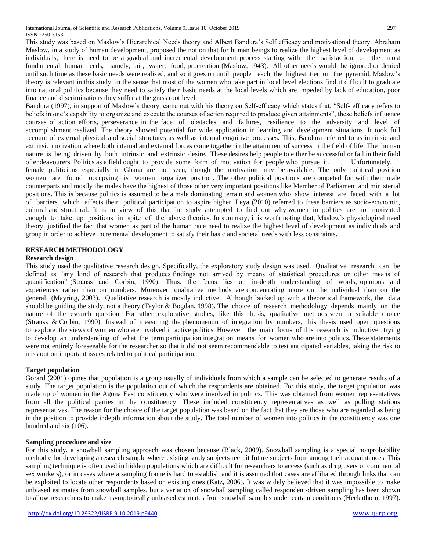This study was based on Maslow's Hierarchical Needs theory and Albert Bandura's Self efficacy and motivational theory. Abraham Maslow, in a study of human development, proposed the notion that for human beings to realize the highest level of development as individuals, there is need to be a gradual and incremental development process starting with the satisfaction of the most fundamental human needs, namely, air, water, food, procreation (Maslow, 1943). All other needs would be ignored or denied until such time as these basic needs were realized, and so it goes on until people reach the highest tier on the pyramid. Maslow's theory is relevant in this study, in the sense that most of the women who take part in local level elections find it difficult to graduate into national politics because they need to satisfy their basic needs at the local levels which are impeded by lack of education, poor finance and discriminations they suffer at the grass root level.

Bandura (1997), in support of Maslow's theory, came out with his theory on Self-efficacy which states that, "Self- efficacy refers to beliefs in one's capability to organize and execute the courses of action required to produce given attainments", these beliefs influence courses of action efforts, perseverance in the face of obstacles and failures, resilience to the adversity and level of accomplishment realized. The theory showed potential for wide application in learning and development situations. It took full account of external physical and social structures as well as internal cognitive processes. This, Bandura referred to as intrinsic and extrinsic motivation where both internal and external forces come together in the attainment of success in the field of life. The human nature is being driven by both intrinsic and extrinsic desire. These desires help people to either be successful or fail in their field of endeavourers. Politics as a field ought to provide some form of motivation for people who pursue it. Unfortunately, female politicians especially in Ghana are not seen, though the motivation may be available. The only political position women are found occupying is women organizer position. The other political positions are competed for with their male counterparts and mostly the males have the highest of those other very important positions like Member of Parliament and ministerial positions. This is because politics is assumed to be a male dominating terrain and women who show interest are faced with a lot of barriers which affects their political participation to aspire higher. Leya (2010) referred to these barriers as socio-economic, cultural and structural. It is in view of this that the study attempted to find out why women in politics are not motivated enough to take up positions in spite of the above theories. In summary, it is worth noting that, Maslow's physiological need theory, justified the fact that women as part of the human race need to realize the highest level of development as individuals and group in order to achieve incremental development to satisfy their basic and societal needs with less constraints.

# **RESEARCH METHODOLOGY**

# **Research design**

This study used the qualitative research design. Specifically, the exploratory study design was used. Qualitative research can be defined as "any kind of research that produces findings not arrived by means of statistical procedures or other means of quantification" (Strauss and Corbin, 1990). Thus, the focus lies on in-depth understanding of words, opinions and experiences rather than on numbers. Moreover, qualitative methods are concentrating more on the individual than on the general (Mayring, 2003). Qualitative research is mostly inductive. Although backed up with a theoretical framework, the data should be guiding the study, not a theory (Taylor & Bogdan, 1998). The choice of research methodology depends mainly on the nature of the research question. For rather explorative studies, like this thesis, qualitative methods seem a suitable choice (Strauss & Corbin, 1990). Instead of measuring the phenomenon of integration by numbers, this thesis used open questions to explore the views of women who are involved in active politics. However, the main focus of this research is inductive, trying to develop an understanding of what the term participation integration means for women who are into politics. These statements were not entirely foreseeable for the researcher so that it did not seem recommendable to test anticipated variables, taking the risk to miss out on important issues related to political participation.

# **Target population**

Gorard (2001) opines that population is a group usually of individuals from which a sample can be selected to generate results of a study. The target population is the population out of which the respondents are obtained. For this study, the target population was made up of women in the Agona East constituency who were involved in politics. This was obtained from women representatives from all the political parties in the constituency. These included constituency representatives as well as polling stations representatives. The reason for the choice of the target population was based on the fact that they are those who are regarded as being in the position to provide indepth information about the study. The total number of women into politics in the constituency was one hundred and six (106).

# **Sampling procedure and size**

For this study, a snowball sampling approach was chosen because (Black, 2009). Snowball sampling is a special nonprobability method e for developing a research sample where existing study subjects recruit future subjects from among their acquaintances. This sampling technique is often used in hidden populations which are difficult for researchers to access (such as drug users or commercial sex workers), or in cases where a sampling frame is hard to establish and it is assumed that cases are affiliated through links that can be exploited to locate other respondents based on existing ones (Katz, 2006). It was widely believed that it was impossible to make unbiased estimates from snowball samples, but a variation of snowball sampling called respondent-driven sampling has been shown to allow researchers to make asymptotically unbiased estimates from snowball samples under certain conditions (Heckathorn, 1997).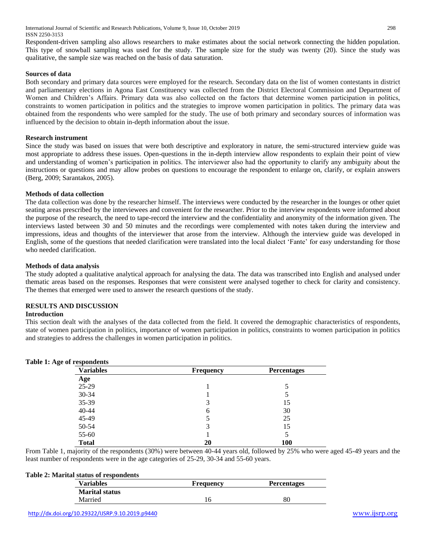International Journal of Scientific and Research Publications, Volume 9, Issue 10, October 2019 298 ISSN 2250-3153

Respondent-driven sampling also allows researchers to make estimates about the social network connecting the hidden population. This type of snowball sampling was used for the study. The sample size for the study was twenty (20). Since the study was qualitative, the sample size was reached on the basis of data saturation.

#### **Sources of data**

Both secondary and primary data sources were employed for the research. Secondary data on the list of women contestants in district and parliamentary elections in Agona East Constituency was collected from the District Electoral Commission and Department of Women and Children's Affairs. Primary data was also collected on the factors that determine women participation in politics, constraints to women participation in politics and the strategies to improve women participation in politics. The primary data was obtained from the respondents who were sampled for the study. The use of both primary and secondary sources of information was influenced by the decision to obtain in-depth information about the issue.

# **Research instrument**

Since the study was based on issues that were both descriptive and exploratory in nature, the semi-structured interview guide was most appropriate to address these issues. Open-questions in the in-depth interview allow respondents to explain their point of view and understanding of women's participation in politics. The interviewer also had the opportunity to clarify any ambiguity about the instructions or questions and may allow probes on questions to encourage the respondent to enlarge on, clarify, or explain answers (Berg, 2009; Sarantakos, 2005).

#### **Methods of data collection**

The data collection was done by the researcher himself. The interviews were conducted by the researcher in the lounges or other quiet seating areas prescribed by the interviewees and convenient for the researcher. Prior to the interview respondents were informed about the purpose of the research, the need to tape-record the interview and the confidentiality and anonymity of the information given. The interviews lasted between 30 and 50 minutes and the recordings were complemented with notes taken during the interview and impressions, ideas and thoughts of the interviewer that arose from the interview. Although the interview guide was developed in English, some of the questions that needed clarification were translated into the local dialect 'Fante' for easy understanding for those who needed clarification.

#### **Methods of data analysis**

The study adopted a qualitative analytical approach for analysing the data. The data was transcribed into English and analysed under thematic areas based on the responses. Responses that were consistent were analysed together to check for clarity and consistency. The themes that emerged were used to answer the research questions of the study.

# **RESULTS AND DISCUSSION**

#### **Introduction**

This section dealt with the analyses of the data collected from the field. It covered the demographic characteristics of respondents, state of women participation in politics, importance of women participation in politics, constraints to women participation in politics and strategies to address the challenges in women participation in politics.

| <b>Variables</b> | <b>Frequency</b> | <b>Percentages</b> |  |
|------------------|------------------|--------------------|--|
| Age              |                  |                    |  |
| 25-29            |                  |                    |  |
| 30-34            |                  |                    |  |
| 35-39            | 3                | 15                 |  |
| 40-44            | h                | 30                 |  |
| 45-49            |                  | 25                 |  |
| 50-54            | 3                | 15                 |  |
| 55-60            |                  |                    |  |
| <b>Total</b>     | 20               | 100                |  |

#### **Table 1: Age of respondents**

From Table 1, majority of the respondents (30%) were between 40-44 years old, followed by 25% who were aged 45-49 years and the least number of respondents were in the age categories of 25-29, 30-34 and 55-60 years.

## **Table 2: Marital status of respondents**

| <b>Variables</b>      | <b>Frequency</b> | <b>Percentages</b> |
|-----------------------|------------------|--------------------|
| <b>Marital status</b> |                  |                    |
| Married               | 16               | 80                 |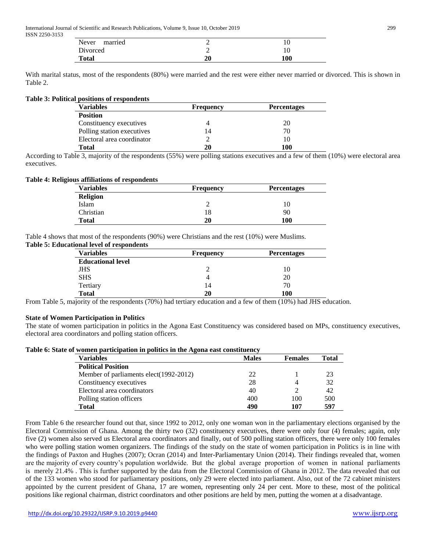International Journal of Scientific and Research Publications, Volume 9, Issue 10, October 2019 299 ISSN 2250-3153

| married<br>Never | ∼  |     |
|------------------|----|-----|
| Divorced         | ∼  |     |
| <b>Total</b>     | 20 | 100 |

With marital status, most of the respondents (80%) were married and the rest were either never married or divorced. This is shown in Table 2.

#### **Table 3: Political positions of respondents**

| <b>Variables</b>           | <b>Frequency</b> | <b>Percentages</b> |  |  |
|----------------------------|------------------|--------------------|--|--|
| <b>Position</b>            |                  |                    |  |  |
| Constituency executives    |                  | 20                 |  |  |
| Polling station executives | 14               | 70                 |  |  |
| Electoral area coordinator |                  | 10                 |  |  |
| Total                      | 20               | 100                |  |  |

According to Table 3, majority of the respondents (55%) were polling stations executives and a few of them (10%) were electoral area executives.

## **Table 4: Religious affiliations of respondents**

| <b>Variables</b> | <b>Frequency</b> | <b>Percentages</b> |
|------------------|------------------|--------------------|
| <b>Religion</b>  |                  |                    |
| Islam            |                  | 10                 |
| Christian        | 18               | 90                 |
| Total            | 20               | 100                |

Table 4 shows that most of the respondents (90%) were Christians and the rest (10%) were Muslims.

# **Table 5: Educational level of respondents**

| <b>Variables</b>         | <b>Frequency</b> | <b>Percentages</b> |  |  |
|--------------------------|------------------|--------------------|--|--|
| <b>Educational level</b> |                  |                    |  |  |
| JHS                      |                  | 10                 |  |  |
| <b>SHS</b>               | 4                | 20                 |  |  |
| Tertiary                 | 14               | 70                 |  |  |
| <b>Total</b>             | 20               | 100                |  |  |

From Table 5, majority of the respondents (70%) had tertiary education and a few of them (10%) had JHS education.

# **State of Women Participation in Politics**

The state of women participation in politics in the Agona East Constituency was considered based on MPs, constituency executives, electoral area coordinators and polling station officers.

|  |  |  |  | Table 6: State of women participation in politics in the Agona east constituency |
|--|--|--|--|----------------------------------------------------------------------------------|
|  |  |  |  |                                                                                  |

| Variables                               | <b>Males</b> | <b>Females</b> | <b>Total</b> |  |
|-----------------------------------------|--------------|----------------|--------------|--|
| <b>Political Position</b>               |              |                |              |  |
| Member of parliaments elect (1992-2012) | 22           |                | 23           |  |
| Constituency executives                 | 28           |                | 32           |  |
| Electoral area coordinators             | 40           |                | 42           |  |
| Polling station officers                | 400          | 100            | 500          |  |
| <b>Total</b>                            | 490          | 107            | 597          |  |

From Table 6 the researcher found out that, since 1992 to 2012, only one woman won in the parliamentary elections organised by the Electoral Commission of Ghana. Among the thirty two (32) constituency executives, there were only four (4) females; again, only five (2) women also served us Electoral area coordinators and finally, out of 500 polling station officers, there were only 100 females who were polling station women organizers. The findings of the study on the state of women participation in Politics is in line with the findings of Paxton and Hughes (2007); Ocran (2014) and Inter-Parliamentary Union (2014). Their findings revealed that, women are the majority of every country's population worldwide. But the global average proportion of women in national parliaments is merely 21.4% . This is further supported by the data from the Electoral Commission of Ghana in 2012. The data revealed that out of the 133 women who stood for parliamentary positions, only 29 were elected into parliament. Also, out of the 72 cabinet ministers appointed by the current president of Ghana, 17 are women, representing only 24 per cent. More to these, most of the political positions like regional chairman, district coordinators and other positions are held by men, putting the women at a disadvantage.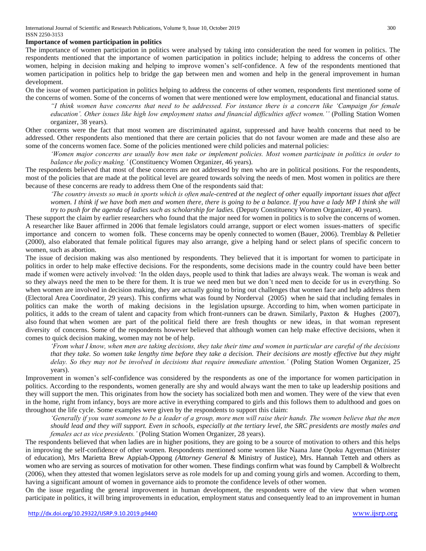#### **Importance of women participation in politics**

The importance of women participation in politics were analysed by taking into consideration the need for women in politics. The respondents mentioned that the importance of women participation in politics include; helping to address the concerns of other women, helping in decision making and helping to improve women's self-confidence. A few of the respondents mentioned that women participation in politics help to bridge the gap between men and women and help in the general improvement in human development.

On the issue of women participation in politics helping to address the concerns of other women, respondents first mentioned some of the concerns of women. Some of the concerns of women that were mentioned were low employment, educational and financial status.

*"I think women have concerns that need to be addressed. For instance there is a concern like 'Campaign for female education'. Other issues like high low employment status and financial difficulties affect women.''* (Polling Station Women organizer, 38 years).

Other concerns were the fact that most women are discriminated against, suppressed and have health concerns that need to be addressed. Other respondents also mentioned that there are certain policies that do not favour women are made and these also are some of the concerns women face. Some of the policies mentioned were child policies and maternal policies:

*'Women major concerns are usually how men take or implement policies. Most women participate in politics in order to balance the policy making.'* (Constituency Women Organizer, 46 years).

The respondents believed that most of these concerns are not addressed by men who are in political positions. For the respondents, most of the policies that are made at the political level are geared towards solving the needs of men. Most women in politics are there because of these concerns are ready to address them One of the respondents said that:

*'The country invests so much in sports which is often male-centred at the neglect of other equally important issues that affect women. I think if we have both men and women there, there is going to be a balance. If you have a lady MP I think she will try to push for the agenda of ladies such as scholarship for ladies.* (Deputy Constituency Women Organizer, 40 years).

These support the claim by earlier researchers who found that the major need for women in politics is to solve the concerns of women. A researcher like Bauer affirmed in 2006 that female legislators could arrange, support or elect women issues-matters of specific importance and concern to women folk. These concerns may be openly connected to women (Bauer, 2006). Tremblay & Pelletier (2000), also elaborated that female political figures may also arrange, give a helping hand or select plans of specific concern to women, such as abortion.

The issue of decision making was also mentioned by respondents. They believed that it is important for women to participate in politics in order to help make effective decisions. For the respondents, some decisions made in the country could have been better made if women were actively involved: 'In the olden days, people used to think that ladies are always weak. The woman is weak and so they always need the men to be there for them. It is true we need men but we don't need men to decide for us in everything. So when women are involved in decision making, they are actually going to bring out challenges that women face and help address them (Electoral Area Coordinator, 29 years). This confirms what was found by Norderval (2005) when he said that including females in politics can make the worth of making decisions in the legislation upsurge. According to him, when women participate in politics, it adds to the cream of talent and capacity from which front-runners can be drawn. Similarly, Paxton & Hughes (2007), also found that when women are part of the political field there are fresh thoughts or new ideas, in that woman represent diversity of concerns. Some of the respondents however believed that although women can help make effective decisions, when it comes to quick decision making, women may not be of help.

*'From what I know, when men are taking decisions, they take their time and women in particular are careful of the decisions that they take. So women take lengthy time before they take a decision. Their decisions are mostly effective but they might delay. So they may not be involved in decisions that require immediate attention.'* (Poling Station Women Organizer, 25 years).

Improvement in women's self-confidence was considered by the respondents as one of the importance for women participation in politics. According to the respondents, women generally are shy and would always want the men to take up leadership positions and they will support the men. This originates from how the society has socialized both men and women. They were of the view that even in the home, right from infancy, boys are more active in everything compared to girls and this follows them to adulthood and goes on throughout the life cycle. Some examples were given by the respondents to support this claim:

*'Generally if you want someone to be a leader of a group, more men will raise their hands. The women believe that the men should lead and they will support. Even in schools, especially at the tertiary level, the SRC presidents are mostly males and females act as vice presidents.'* (Poling Station Women Organizer, 28 years).

The respondents believed that when ladies are in higher positions, they are going to be a source of motivation to others and this helps in improving the self-confidence of other women. Respondents mentioned some women like Naana Jane Opoku Agyeman (Minister of education), Mrs Marietta Brew Appiah-Oppong *(Attorney General* & Ministry of Justice), Mrs. Hannah Tetteh and others as women who are serving as sources of motivation for other women. These findings confirm what was found by Campbell & Wolbrecht (2006), when they attested that women legislators serve as role models for up and coming young girls and women. According to them, having a significant amount of women in governance aids to promote the confidence levels of other women.

On the issue regarding the general improvement in human development, the respondents were of the view that when women participate in politics, it will bring improvements in education, employment status and consequently lead to an improvement in human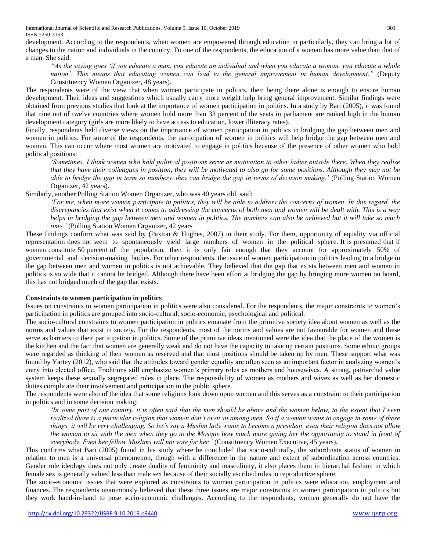International Journal of Scientific and Research Publications, Volume 9, Issue 10, October 2019 301 ISSN 2250-3153

development. According to the respondents, when women are empowered through education in particularly, they can bring a lot of changes to the nation and individuals in the country. To one of the respondents, the education of a woman has more value than that of a man. She said:

*"As the saying goes 'if you educate a man, you educate an individual and when you educate a woman, you educate a whole nation'. This means that educating women can lead to the general improvement in human development."* (Deputy Constituency Women Organizer, 48 years).

The respondents were of the view that when women participate in politics, their being there alone is enough to ensure human development. Their ideas and suggestions which usually carry more weight help bring general improvement. Similar findings were obtained from previous studies that look at the importance of women participation in politics. In a study by Bari (2005), it was found that nine out of twelve countries where women hold more than 33 percent of the seats in parliament are ranked high in the human development category (girls are more likely to have access to education, lower illiteracy rates).

Finally, respondents held diverse views on the importance of women participation in politics in bridging the gap between men and women in politics. For some of the respondents, the participation of women in politics will help bridge the gap between men and women. This can occur where most women are motivated to engage in politics because of the presence of other women who hold political positions:

*'Sometimes, I think women who hold political positions serve as motivation to other ladies outside there. When they realize that they have their colleagues in position, they will be motivated to also go for some positions. Although they may not be able to bridge the gap in term so numbers, they can bridge the gap in terms of decision making.'* (Polling Station Women Organizer, 42 years).

Similarly, another Polling Station Women Organizer, who was 40 years old said:

*'For me, when more women participate in politics, they will be able to address the concerns of women. In this regard, the discrepancies that exist when it comes to addressing the concerns of both men and women will be dealt with. This is a way helps in bridging the gap between men and women in politics. The numbers can also be achieved but it will take so much time.'* (Polling Station Women Organizer, 42 years

These findings confirm what was said by (Paxton & Hughes, 2007) in their study. For them, opportunity of equality via official representation does not seem to spontaneously yield large numbers of women in the political sphere. It is presumed that if women constitute 50 percent of the population, then it is only fair enough that they account for approximately 50% of governmental and decision-making bodies. For other respondents, the issue of women participation in politics leading to a bridge in the gap between men and women in politics is not achievable. They believed that the gap that exists between men and women in politics is so wide that it cannot be bridged. Although there have been effort at bridging the gap by bringing more women on board, this has not bridged much of the gap that exists.

## **Constraints to women participation in politics**

Issues on constraints to women participation in politics were also considered. For the respondents, the major constraints to women's participation in politics are grouped into socio-cultural, socio-economic, psychological and political.

The socio-cultural constraints to women participation in politics emanate from the primitive society idea about women as well as the norms and values that exist in society. For the respondents, most of the norms and values are not favourable for women and these serve as barriers to their participation in politics. Some of the primitive ideas mentioned were the idea that the place of the women is the kitchen and the fact that women are generally weak and do not have the capacity to take up certain positions. Some ethnic groups were regarded as thinking of their women as reserved and that most positions should be taken up by men. These support what was found by Yartey (2012), who said that the attitudes toward gender equality are often seen as an important factor in analyzing women's entry into elected office. Traditions still emphasize women's primary roles as mothers and housewives. A strong, patriarchal value system keeps these sexually segregated roles in place. The responsibility of women as mothers and wives as well as her domestic duties complicate their involvement and participation in the public sphere.

The respondents were also of the idea that some religions look down upon women and this serves as a constraint to their participation in politics and in some decision making:

*'In some part of our country, it is often said that the men should be above and the women below, to the extent that I even realized there is a particular religion that women don't even sit among men. So if a woman wants to engage in some of these things, it will be very challenging. So let's say a Muslim lady wants to become a president, even their religion does not allow the woman to sit with the men when they go to the Mosque how much more giving her the opportunity to stand in front of everybody. Even her fellow Muslims will not vote for her.'* (Constituency Women Executive, 45 years).

This confirms what Bari (2005) found in his study where he concluded that socio-culturally, the subordinate status of women in relation to men is a universal phenomenon, though with a difference in the nature and extent of subordination across countries. Gender role ideology does not only create duality of femininity and masculinity, it also places them in hierarchal fashion in which female sex is generally valued less than male sex because of their socially ascribed roles in reproductive sphere.

The socio-economic issues that were explored as constraints to women participation in politics were education, employment and finances. The respondents unanimously believed that these three issues are major constraints to women participation in politics but they work hand-in-hand to pose socio-economic challenges. According to the respondents, women generally do not have the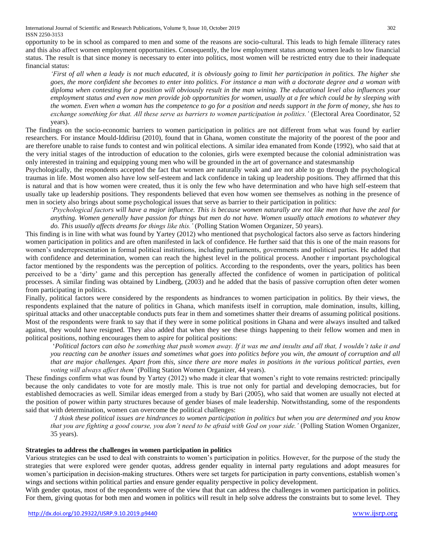International Journal of Scientific and Research Publications, Volume 9, Issue 10, October 2019 302 ISSN 2250-3153

opportunity to be in school as compared to men and some of the reasons are socio-cultural. This leads to high female illiteracy rates and this also affect women employment opportunities. Consequently, the low employment status among women leads to low financial status. The result is that since money is necessary to enter into politics, most women will be restricted entry due to their inadequate financial status:

*'First of all when a leady is not much educated, it is obviously going to limit her participation in politics. The higher she goes, the more confident she becomes to enter into politics. For instance a man with a doctorate degree and a woman with diploma when contesting for a position will obviously result in the man wining. The educational level also influences your employment status and even now men provide job opportunities for women, usually at a fee which could be by sleeping with the women. Even when a woman has the competence to go for a position and needs support in the form of money, she has to exchange something for that. All these serve as barriers to women participation in politics.'* (Electoral Area Coordinator, 52 years).

The findings on the socio-economic barriers to women participation in politics are not different from what was found by earlier researchers. For instance Mould-Iddirisu (2010), found that in Ghana, women constitute the majority of the poorest of the poor and are therefore unable to raise funds to contest and win political elections. A similar idea emanated from Konde (1992), who said that at the very initial stages of the introduction of education to the colonies, girls were exempted because the colonial administration was only interested in training and equipping young men who will be grounded in the art of governance and statesmanship

Psychologically, the respondents accepted the fact that women are naturally weak and are not able to go through the psychological traumas in life. Most women also have low self-esteem and lack confidence in taking up leadership positions. They affirmed that this is natural and that is how women were created, thus it is only the few who have determination and who have high self-esteem that usually take up leadership positions. They respondents believed that even how women see themselves as nothing in the presence of men in society also brings about some psychological issues that serve as barrier to their participation in politics:

*'Psychological factors will have a major influence. This is because women naturally are not like men that have the zeal for anything. Women generally have passion for things but men do not have. Women usually attach emotions to whatever they do. This usually affects dreams for things like this.'* (Polling Station Women Organizer, 50 years).

This finding is in line with what was found by Yartey (2012) who mentioned that psychological factors also serve as factors hindering women participation in politics and are often manifested in lack of confidence. He further said that this is one of the main reasons for women's underrepresentation in formal political institutions, including parliaments, governments and political parties. He added that with confidence and determination, women can reach the highest level in the political process. Another r important psychological factor mentioned by the respondents was the perception of politics. According to the respondents, over the years, politics has been perceived to be a 'dirty' game and this perception has generally affected the confidence of women in participation of political processes. A similar finding was obtained by Lindberg, (2003) and he added that the basis of passive corruption often deter women from participating in politics.

Finally, political factors were considered by the respondents as hindrances to women participation in politics. By their views, the respondents explained that the nature of politics in Ghana, which manifests itself in corruption, male domination, insults, killing, spiritual attacks and other unacceptable conducts puts fear in them and sometimes shatter their dreams of assuming political positions. Most of the respondents were frank to say that if they were in some political positions in Ghana and were always insulted and talked against, they would have resigned. They also added that when they see these things happening to their fellow women and men in political positions, nothing encourages them to aspire for political positions:

'*Political factors can also be something that push women away. If it was me and insults and all that, I wouldn't take it and you reacting can be another issues and sometimes what goes into politics before you win, the amount of corruption and all that are major challenges. Apart from this, since there are more males in positions in the various political parties, even voting will always affect them'* (Polling Station Women Organizer, 44 years).

These findings confirm what was found by Yartey (2012) who made it clear that women's right to vote remains restricted: principally because the only candidates to vote for are mostly male. This is true not only for partial and developing democracies, but for established democracies as well. Similar ideas emerged from a study by Bari (2005), who said that women are usually not elected at the position of power within party structures because of gender biases of male leadership. Notwithstanding, some of the respondents said that with determination, women can overcome the political challenges:

*'I think these political issues are hindrances to women participation in politics but when you are determined and you know that you are fighting a good course, you don't need to be afraid with God on your side.'* (Polling Station Women Organizer, 35 years).

## **Strategies to address the challenges in women participation in politics**

Various strategies can be used to deal with constraints to women's participation in politics. However, for the purpose of the study the strategies that were explored were gender quotas, address gender equality in internal party regulations and adopt measures for women's participation in decision-making structures. Others were set targets for participation in party conventions, establish women's wings and sections within political parties and ensure gender equality perspective in policy development.

With gender quotas, most of the respondents were of the view that that can address the challenges in women participation in politics. For them, giving quotas for both men and women in politics will result in help solve address the constraints but to some level. They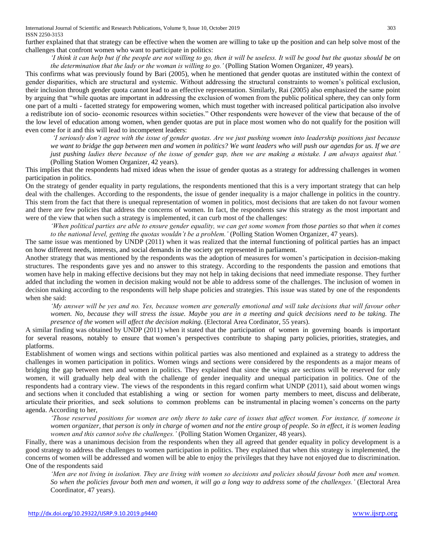International Journal of Scientific and Research Publications, Volume 9, Issue 10, October 2019 303 ISSN 2250-3153

further explained that that strategy can be effective when the women are willing to take up the position and can help solve most of the challenges that confront women who want to participate in politics:

*'I think it can help but if the people are not willing to go, then it will be useless. It will be good but the quotas should be on the determination that the lady or the woman is willing to go.'* (Polling Station Women Organizer, 49 years).

This confirms what was previously found by Bari (2005), when he mentioned that *g*ender quotas are instituted within the context of gender disparities, which are structural and systemic. Without addressing the structural constraints to women's political exclusion, their inclusion through gender quota cannot lead to an effective representation. Similarly, Rai (2005) also emphasized the same point by arguing that "while quotas are important in addressing the exclusion of women from the public political sphere, they can only form one part of a multi - facetted strategy for empowering women, which must together with increased political participation also involve a redistribute ion of socio- economic resources within societies." Other respondents were however of the view that because of the of the low level of education among women, when gender quotas are put in place most women who do not qualify for the position will even come for it and this will lead to incompetent leaders:

*'I seriously don't agree with the issue of gender quotas. Are we just pushing women into leadership positions just because we want to bridge the gap between men and women in politics? We want leaders who will push our agendas for us. If we are just pushing ladies there because of the issue of gender gap, then we are making a mistake. I am always against that.'*  (Polling Station Women Organizer, 42 years).

This implies that the respondents had mixed ideas when the issue of gender quotas as a strategy for addressing challenges in women participation in politics.

On the strategy of gender equality in party regulations, the respondents mentioned that this is a very important strategy that can help deal with the challenges. According to the respondents, the issue of gender inequality is a major challenge in politics in the country. This stem from the fact that there is unequal representation of women in politics, most decisions that are taken do not favour women and there are few policies that address the concerns of women. In fact, the respondents saw this strategy as the most important and were of the view that when such a strategy is implemented, it can curb most of the challenges:

*'When political parties are able to ensure gender equality, we can get some women from those parties so that when it comes to the national level, getting the quotas wouldn't be a problem.'* (Polling Station Women Organizer, 47 years).

The same issue was mentioned by UNDP (2011) when it was realized that the internal functioning of political parties has an impact on how different needs, interests, and social demands in the society get represented in parliament.

Another strategy that was mentioned by the respondents was the adoption of measures for women's participation in decision-making structures. The respondents gave yes and no answer to this strategy. According to the respondents the passion and emotions that women have help in making effective decisions but they may not help in taking decisions that need immediate response. They further added that including the women in decision making would not be able to address some of the challenges. The inclusion of women in decision making according to the respondents will help shape policies and strategies. This issue was stated by one of the respondents when she said:

*'My answer will be yes and no. Yes, because women are generally emotional and will take decisions that will favour other women. No, because they will stress the issue. Maybe you are in a meeting and quick decisions need to be taking. The presence of the women will affect the decision making.* (Electoral Area Cordinator, 55 years).

A similar finding was obtained by UNDP (2011) when it stated that the participation of women in governing boards is important for several reasons, notably to ensure that women's perspectives contribute to shaping party policies, priorities, strategies, and platforms.

Establishment of women wings and sections within political parties was also mentioned and explained as a strategy to address the challenges in women participation in politics. Women wings and sections were considered by the respondents as a major means of bridging the gap between men and women in politics. They explained that since the wings are sections will be reserved for only women, it will gradually help deal with the challenge of gender inequality and unequal participation in politics. One of the respondents had a contrary view. The views of the respondents in this regard confirm what UNDP (2011), said about women wings and sections when it concluded that establishing a wing or section for women party members to meet, discuss and deliberate, articulate their priorities, and seek solutions to common problems can be instrumental in placing women's concerns on the party agenda. According to her,

*'Those reserved positions for women are only there to take care of issues that affect women. For instance, if someone is women organizer, that person is only in charge of women and not the entire group of people. So in effect, it is women leading women and this cannot solve the challenges.'* (Polling Station Women Organizer, 48 years).

Finally, there was a unanimous decision from the respondents when they all agreed that gender equality in policy development is a good strategy to address the challenges to women participation in politics. They explained that when this strategy is implemented, the concerns of women will be addressed and women will be able to enjoy the privileges that they have not enjoyed due to discrimination. One of the respondents said

*'Men are not living in isolation. They are living with women so decisions and policies should favour both men and women. So when the policies favour both men and women, it will go a long way to address some of the challenges.'* (Electoral Area Coordinator, 47 years).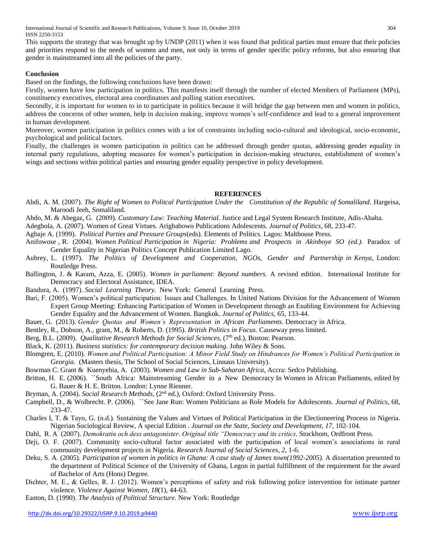International Journal of Scientific and Research Publications, Volume 9, Issue 10, October 2019 304 ISSN 2250-3153

This supports the strategy that was brought up by UNDP (2011) when it was found that political parties must ensure that their policies and priorities respond to the needs of women and men, not only in terms of gender specific policy reforms, but also ensuring that gender is mainstreamed into all the policies of the party.

# **Conclusion**

Based on the findings, the following conclusions have been drawn:

Firstly, women have low participation in politics. This manifests itself through the number of elected Members of Parliament (MPs), constituency executives, electoral area coordinators and polling station executives.

Secondly, it is important for women to in to participate in politics because it will bridge the gap between men and women in politics, address the concerns of other women, help in decision making, improve women's self-confidence and lead to a general improvement in human development.

Moreover, women participation in politics comes with a lot of constraints including socio-cultural and ideological, socio-economic, psychological and political factors.

Finally, the challenges in women participation in politics can be addressed through gender quotas, addressing gender equality in internal party regulations, adopting measures for women's participation in decision-making structures, establishment of women's wings and sections within political parties and ensuring gender equality perspective in policy development.

## **REFERENCES**

Abdi, A. M. (2007). *The Right of Women to Politcal Participation Under the Constitution of the Republic of Somaliland*. Hargeisa, Maroodi Jeeh, Somaliland.

Abdo, M. & Abegaz, G. (2009). *Customary Law: Teaching Material.* Justice and Legal System Research Institute, Adis-Ababa.

Adegbola, A. (2007). Women of Great Virtues*.* Arigbabowo Publications Adolescents. *Journal of Politics*, 68, 233-47.

Agbaje A. (1999). *Political Parties and Pressure Groups*(eds). Elements of Politics. Lagos: Malthouse Press.

- Anifowose , R. (2004). *Women Political Participation in Nigeria: Problems and Prospects in Akinboye SO (ed.).* Paradox of Gender Equality in Nigerian Politics Concept Publication Limited Lago.
- Aubrey, L. (1997). *The Politics of Development and Cooperation, NGOs, Gender and Partnership in Kenya*, London: Routledge Press.
- Ballington, J. & Karam, Azza, E. (2005). *Women in parliament: Beyond numbers.* A revised edition. International Institute for Democracy and Electoral Assistance, IDEA.
- Bandura, A. (1997). *Social Learning Theory.* New York: General Learning Press.
- Bari, F. (2005). Women's political participation: Issues and Challenges. In United Nations Division for the Advancement of Women Expert Group Meeting: Enhancing Participation of Women in Development through an Enabling Environment for Achieving Gender Equality and the Advancement of Women. Bangkok. *Journal of Politics,* 65, 133-44.
- Bauer, G. (2013). *Gender Quotas and Women's Representation in African Parliaments.* Democracy in Africa.
- Bentley, R., Dobson, A., grant, M., & Roberts, D. (1995). *British Politics in Focus.* Causeway press limited.
- Berg, B.L. (2009). *Qualitative Research Methods for Social Sciences*, (7<sup>th</sup> ed.), Boston: Pearson.
- Black, K. (2011). *Business statistics: for contemporary decision making.* John Wiley & Sons.
- Blomgren, E. (2010). *Women and Political Participation: A Minor Field Study on Hindrances for Women's Political Participation in Georgia.* (Masters thesis, The School of Social Sciences, Linnaus University).

Bowman C. Grant & Kuenyehia, A. (2003). *Women and Law in Sub-Saharan Africa,* Accra: Sedco Publishing.

- Britton, H. E. (2006). ``South Africa: Mainstreaming Gender in a New Democracy In Women in African Parliaments, edited by G. Bauer & H. E. Britton. London: Lynne Rienner.
- Bryman, A. (2004). *Social Research Methods,* (2nd ed.), Oxford: Oxford University Press.
- Campbell, D., & Wolbrecht. P. (2006). ``See Jane Run: Women Politicians as Role Models for Adolescents. *Journal of Politics,* 68, 233-47.
- Charles I, T. & Tayo, G. (n.d.). Sustaining the Values and Virtues of Political Participation in the Electioneering Process in Nigeria. Nigerian Sociological Review, A special Edition . *Journal on the State, Society and Development, 17*, 102-104.

Dahl, R. A (2007). *Demokratin och dess antagonister. Original title "Democracy and its critics*. Stockhom, Ordfront Press.

- Deji, O. F. (2007). Community socio-cultural factor associated with the participation of local women's associations in rural community development projects in Nigeria. *Research Journal of Social Sciences*, *2*, 1-6.
- Deku, S. A. (2005). *Participation of women in politics in Ghana: A case study of James town(1992-2005).* A dissertation presented to the department of Political Science of the University of Ghana, Legon in partial fulfillment of the requirement for the award of Bachelor of Arts (Hons) Degree.
- Dichter, M. E., & Gelles, R. J. (2012). Women's perceptions of safety and risk following police intervention for intimate partner violence. *Violence Against Women*, *18*(1), 44-63.

Easton, D. (1990). *The Analysis of Political Structure.* New York: Routledge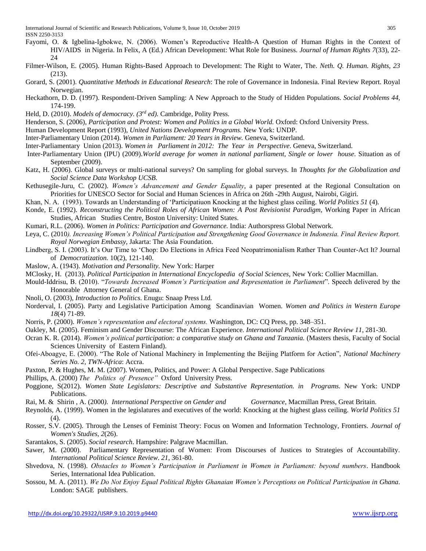- Fayomi, O. & Igbelina-Igbokwe, N. (2006). Women's Reproductive Health-A Question of Human Rights in the Context of HIV/AIDS in Nigeria. In Felix, A (Ed.) African Development: What Role for Business. *Journal of Human Rights 7*(33), 22- 24
- Filmer-Wilson, E. (2005). Human Rights-Based Approach to Development: The Right to Water, The. *Neth. Q. Human. Rights*, *23* (213).
- Gorard, S. (2001). *Quantitative Methods in Educational Research*: The role of Governance in Indonesia. Final Review Report. Royal Norwegian.
- Heckathorn, D. D. (1997). Respondent-Driven Sampling: A New Approach to the Study of Hidden Populations. *Social Problems 44,* 174-199.
- Held, D. (2010). *Models of democracy. (3rd ed).* Cambridge, Polity Press.
- Henderson, S. (2006), *Participation and Protest: Women and Politics in a Global World.* Oxford: Oxford University Press.
- Human Development Report (1993), *United Nations Development Programs.* New York: UNDP.
- Inter-Parliamentary Union (2014). *Women in Parliament: 20 Years in Review.* Geneva, Switzerland.
- Inter-Parliamentary Union (2013). *Women in Parliament in 2012: The Year in Perspective*. Geneva, Switzerland.
- Inter-Parliamentary Union (IPU) (2009).*World average for women in national parliament, Single or lower house*. Situation as of September (2009).
- Katz, H. (2006). Global surveys or multi-national surveys? On sampling for global surveys. In *Thoughts for the Globalization and Social Science Data Workshop UCSB*.
- Kethusegile-Juru, C. (2002). *Women's Advancement and Gender Equality*, a paper presented at the Regional Consultation on Priorities for UNESCO Sector for Social and Human Sciences in Africa on 26th -29th August, Nairobi, Gigiri.
- Khan, N. A. (1993). Towards an Understanding of 'Participatiuon Knocking at the highest glass ceiling. *World Politics 51* (4).
- Konde, E. (1992). *Reconstructing the Political Roles of African Women: A Post Revisionist Paradigm,* Working Paper in African Studies, African Studies Centre, Boston University: United States.
- Kumari, R.L. (2006). *Women in Politics: Participation and Governance.* India: Authorspress Global Network.
- Leya, C. (2010*). Increasing Women's Political Participation and Strengthening Good Governance in Indonesia. Final Review Report. Royal Norwegian Embassy*, Jakarta: The Asia Foundation.
- Lindberg, S. I. (2003). It's Our Time to 'Chop: Do Elections in Africa Feed Neopatrimonialism Rather Than Counter-Act It? Journal of *Democratization.* 10(2), 121-140.
- Maslow, A. (1943). *Motivation and Personality.* New York: Harper
- MClosky, H. (2013). *Political Participation in International Encyclopedia of Social Sciences,* New York: Collier Macmillan.
- Mould-Iddrisu, B. (2010). "*Towards Increased Women's Participation and Representation in Parliament*". Speech delivered by the Honorable Attorney General of Ghana.
- Nnoli, O. (2003), *Introduction to Politics*. Enugu: Snaap Press Ltd.
- Norderval, I. (2005). Party and Legislative Participation Among Scandinavian Women. *Women and Politics in Western Europe 18*(4) 71-89.
- Norris, P. (2000). *Women's representation and electoral systems.* Washington, DC: CQ Press, pp. 348–351.
- Oakley, M. (2005). Feminism and Gender Discourse: The African Experience. *International Political Science Review 11*, 281-30.
- Ocran K. R. (2014). *Women's political participation: a comparative study on Ghana and Tanzania.* (Masters thesis, Faculty of Social Sciences University of Eastern Finland).
- Ofei-Aboagye, E. (2000). "The Role of National Machinery in Implementing the Beijing Platform for Action", *National Machinery Series No. 2, TWN-Africa*: Accra.
- Paxton, P. & Hughes, M. M. (2007). Women, Politics, and Power: A Global Perspective. Sage Publications
- Phillips, A. (2000) *The Politics of Presence"* Oxford University Press.
- Poggione, S(2012). *Women State Legislators: Descriptive and Substantive Representation. in Programs.* New York: UNDP Publications.
- Rai, M. & Shirin , A. (2000*). International Perspective on Gender and Governance*, Macmillan Press, Great Britain.
- Reynolds, A. (1999). Women in the legislatures and executives of the world: Knocking at the highest glass ceiling. *World Politics 51*   $(4).$
- Rosser, S.V. (2005). Through the Lenses of Feminist Theory: Focus on Women and Information Technology, Frontiers. *Journal of Women's Studies*, *2*(26).
- Sarantakos, S. (2005). *Social research*. Hampshire: Palgrave Macmillan.
- Sawer, M. (2000). Parliamentary Representation of Women: From Discourses of Justices to Strategies of Accountability. *International Political Science Review*. *21*, 361-80.
- Shvedova, N. (1998). *Obstacles to Women's Participation in Parliament in Women in Parliament: beyond numbers*. Handbook Series, International Idea Publication.
- Sossou, M. A. (2011). *We Do Not Enjoy Equal Political Rights Ghanaian Women's Perceptions on Political Participation in Ghana*. London: SAGE publishers.